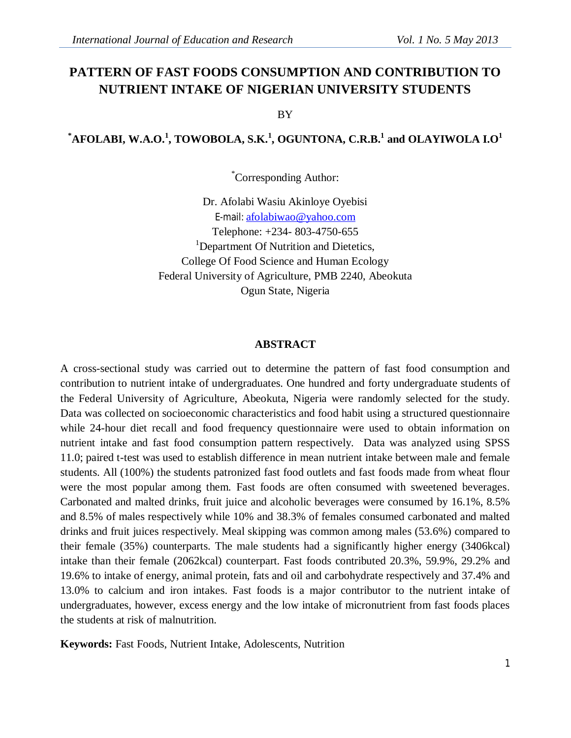# **PATTERN OF FAST FOODS CONSUMPTION AND CONTRIBUTION TO NUTRIENT INTAKE OF NIGERIAN UNIVERSITY STUDENTS**

BY

# $^*$ AFOLABI, W.A.O. $^1$ , TOWOBOLA, S.K. $^1$ , OGUNTONA, C.R.B. $^1$  and OLAYIWOLA I.O $^1$

\*Corresponding Author:

Dr. Afolabi Wasiu Akinloye Oyebisi E-mail: afolabiwao@yahoo.com Telephone: +234- 803-4750-655 <sup>1</sup>Department Of Nutrition and Dietetics, College Of Food Science and Human Ecology Federal University of Agriculture, PMB 2240, Abeokuta Ogun State, Nigeria

#### **ABSTRACT**

A cross-sectional study was carried out to determine the pattern of fast food consumption and contribution to nutrient intake of undergraduates. One hundred and forty undergraduate students of the Federal University of Agriculture, Abeokuta, Nigeria were randomly selected for the study. Data was collected on socioeconomic characteristics and food habit using a structured questionnaire while 24-hour diet recall and food frequency questionnaire were used to obtain information on nutrient intake and fast food consumption pattern respectively. Data was analyzed using SPSS 11.0; paired t-test was used to establish difference in mean nutrient intake between male and female students. All (100%) the students patronized fast food outlets and fast foods made from wheat flour were the most popular among them. Fast foods are often consumed with sweetened beverages. Carbonated and malted drinks, fruit juice and alcoholic beverages were consumed by 16.1%, 8.5% and 8.5% of males respectively while 10% and 38.3% of females consumed carbonated and malted drinks and fruit juices respectively. Meal skipping was common among males (53.6%) compared to their female (35%) counterparts. The male students had a significantly higher energy (3406kcal) intake than their female (2062kcal) counterpart. Fast foods contributed 20.3%, 59.9%, 29.2% and 19.6% to intake of energy, animal protein, fats and oil and carbohydrate respectively and 37.4% and 13.0% to calcium and iron intakes. Fast foods is a major contributor to the nutrient intake of undergraduates, however, excess energy and the low intake of micronutrient from fast foods places the students at risk of malnutrition.

**Keywords:** Fast Foods, Nutrient Intake, Adolescents, Nutrition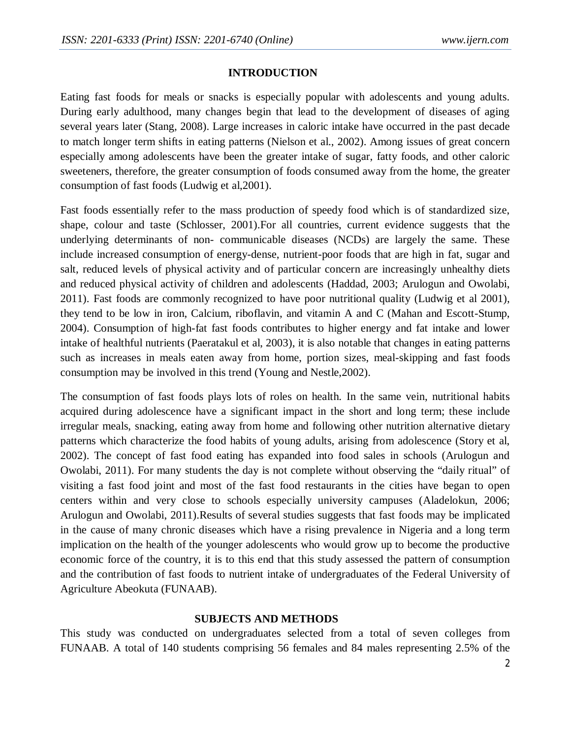#### **INTRODUCTION**

Eating fast foods for meals or snacks is especially popular with adolescents and young adults. During early adulthood, many changes begin that lead to the development of diseases of aging several years later (Stang, 2008). Large increases in caloric intake have occurred in the past decade to match longer term shifts in eating patterns (Nielson et al., 2002). Among issues of great concern especially among adolescents have been the greater intake of sugar, fatty foods, and other caloric sweeteners, therefore, the greater consumption of foods consumed away from the home, the greater consumption of fast foods (Ludwig et al,2001).

Fast foods essentially refer to the mass production of speedy food which is of standardized size, shape, colour and taste (Schlosser, 2001).For all countries, current evidence suggests that the underlying determinants of non- communicable diseases (NCDs) are largely the same. These include increased consumption of energy-dense, nutrient-poor foods that are high in fat, sugar and salt, reduced levels of physical activity and of particular concern are increasingly unhealthy diets and reduced physical activity of children and adolescents (Haddad, 2003; Arulogun and Owolabi, 2011). Fast foods are commonly recognized to have poor nutritional quality (Ludwig et al 2001), they tend to be low in iron, Calcium, riboflavin, and vitamin A and C (Mahan and Escott-Stump, 2004). Consumption of high-fat fast foods contributes to higher energy and fat intake and lower intake of healthful nutrients (Paeratakul et al, 2003), it is also notable that changes in eating patterns such as increases in meals eaten away from home, portion sizes, meal-skipping and fast foods consumption may be involved in this trend (Young and Nestle,2002).

The consumption of fast foods plays lots of roles on health. In the same vein, nutritional habits acquired during adolescence have a significant impact in the short and long term; these include irregular meals, snacking, eating away from home and following other nutrition alternative dietary patterns which characterize the food habits of young adults, arising from adolescence (Story et al, 2002). The concept of fast food eating has expanded into food sales in schools (Arulogun and Owolabi, 2011). For many students the day is not complete without observing the "daily ritual" of visiting a fast food joint and most of the fast food restaurants in the cities have began to open centers within and very close to schools especially university campuses (Aladelokun, 2006; Arulogun and Owolabi, 2011).Results of several studies suggests that fast foods may be implicated in the cause of many chronic diseases which have a rising prevalence in Nigeria and a long term implication on the health of the younger adolescents who would grow up to become the productive economic force of the country, it is to this end that this study assessed the pattern of consumption and the contribution of fast foods to nutrient intake of undergraduates of the Federal University of Agriculture Abeokuta (FUNAAB).

## **SUBJECTS AND METHODS**

This study was conducted on undergraduates selected from a total of seven colleges from FUNAAB. A total of 140 students comprising 56 females and 84 males representing 2.5% of the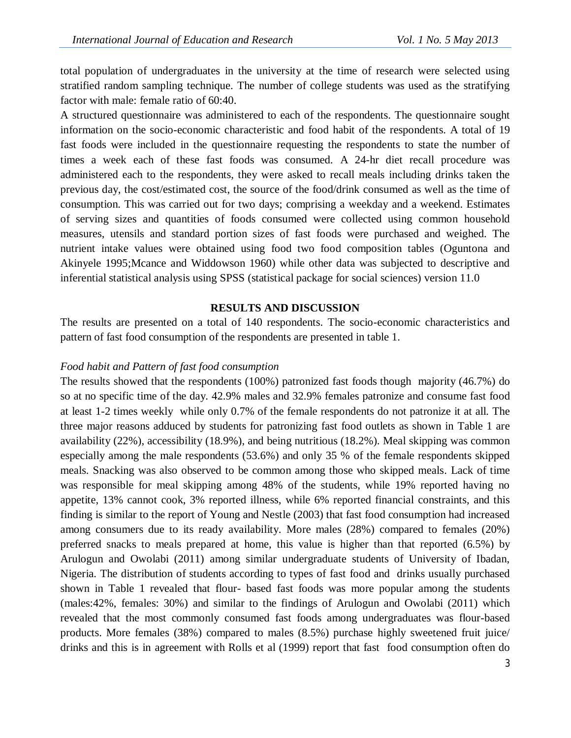total population of undergraduates in the university at the time of research were selected using stratified random sampling technique. The number of college students was used as the stratifying factor with male: female ratio of 60:40.

A structured questionnaire was administered to each of the respondents. The questionnaire sought information on the socio-economic characteristic and food habit of the respondents. A total of 19 fast foods were included in the questionnaire requesting the respondents to state the number of times a week each of these fast foods was consumed. A 24-hr diet recall procedure was administered each to the respondents, they were asked to recall meals including drinks taken the previous day, the cost/estimated cost, the source of the food/drink consumed as well as the time of consumption. This was carried out for two days; comprising a weekday and a weekend. Estimates of serving sizes and quantities of foods consumed were collected using common household measures, utensils and standard portion sizes of fast foods were purchased and weighed. The nutrient intake values were obtained using food two food composition tables (Oguntona and Akinyele 1995;Mcance and Widdowson 1960) while other data was subjected to descriptive and inferential statistical analysis using SPSS (statistical package for social sciences) version 11.0

## **RESULTS AND DISCUSSION**

The results are presented on a total of 140 respondents. The socio-economic characteristics and pattern of fast food consumption of the respondents are presented in table 1.

#### *Food habit and Pattern of fast food consumption*

The results showed that the respondents (100%) patronized fast foods though majority (46.7%) do so at no specific time of the day. 42.9% males and 32.9% females patronize and consume fast food at least 1-2 times weekly while only 0.7% of the female respondents do not patronize it at all. The three major reasons adduced by students for patronizing fast food outlets as shown in Table 1 are availability (22%), accessibility (18.9%), and being nutritious (18.2%). Meal skipping was common especially among the male respondents (53.6%) and only 35 % of the female respondents skipped meals. Snacking was also observed to be common among those who skipped meals. Lack of time was responsible for meal skipping among 48% of the students, while 19% reported having no appetite, 13% cannot cook, 3% reported illness, while 6% reported financial constraints, and this finding is similar to the report of Young and Nestle (2003) that fast food consumption had increased among consumers due to its ready availability. More males (28%) compared to females (20%) preferred snacks to meals prepared at home, this value is higher than that reported (6.5%) by Arulogun and Owolabi (2011) among similar undergraduate students of University of Ibadan, Nigeria. The distribution of students according to types of fast food and drinks usually purchased shown in Table 1 revealed that flour- based fast foods was more popular among the students (males:42%, females: 30%) and similar to the findings of Arulogun and Owolabi (2011) which revealed that the most commonly consumed fast foods among undergraduates was flour-based products. More females (38%) compared to males (8.5%) purchase highly sweetened fruit juice/ drinks and this is in agreement with Rolls et al (1999) report that fast food consumption often do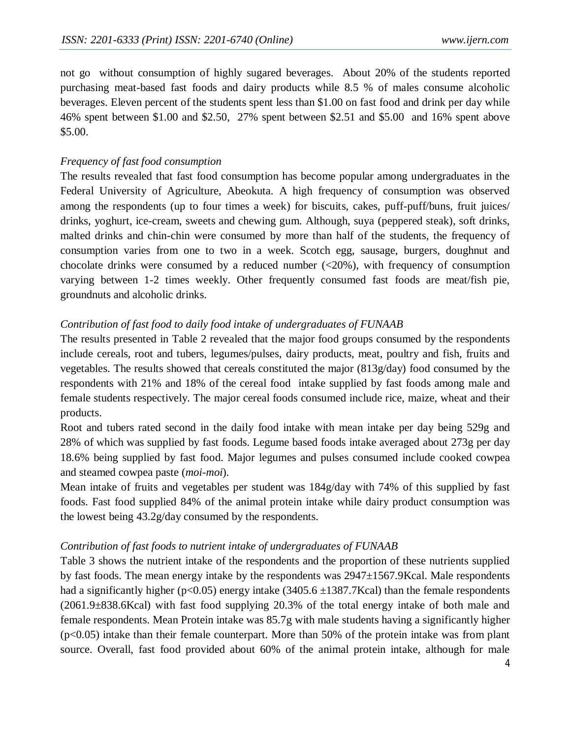not go without consumption of highly sugared beverages. About 20% of the students reported purchasing meat-based fast foods and dairy products while 8.5 % of males consume alcoholic beverages. Eleven percent of the students spent less than \$1.00 on fast food and drink per day while 46% spent between \$1.00 and \$2.50, 27% spent between \$2.51 and \$5.00 and 16% spent above \$5.00.

## *Frequency of fast food consumption*

The results revealed that fast food consumption has become popular among undergraduates in the Federal University of Agriculture, Abeokuta. A high frequency of consumption was observed among the respondents (up to four times a week) for biscuits, cakes, puff-puff/buns, fruit juices/ drinks, yoghurt, ice-cream, sweets and chewing gum. Although, suya (peppered steak), soft drinks, malted drinks and chin-chin were consumed by more than half of the students, the frequency of consumption varies from one to two in a week. Scotch egg, sausage, burgers, doughnut and chocolate drinks were consumed by a reduced number  $\left( \langle 20\% \rangle \right)$ , with frequency of consumption varying between 1-2 times weekly. Other frequently consumed fast foods are meat/fish pie, groundnuts and alcoholic drinks.

# *Contribution of fast food to daily food intake of undergraduates of FUNAAB*

The results presented in Table 2 revealed that the major food groups consumed by the respondents include cereals, root and tubers, legumes/pulses, dairy products, meat, poultry and fish, fruits and vegetables. The results showed that cereals constituted the major (813g/day) food consumed by the respondents with 21% and 18% of the cereal food intake supplied by fast foods among male and female students respectively. The major cereal foods consumed include rice, maize, wheat and their products.

Root and tubers rated second in the daily food intake with mean intake per day being 529g and 28% of which was supplied by fast foods. Legume based foods intake averaged about 273g per day 18.6% being supplied by fast food. Major legumes and pulses consumed include cooked cowpea and steamed cowpea paste (*moi-moi*).

Mean intake of fruits and vegetables per student was 184g/day with 74% of this supplied by fast foods. Fast food supplied 84% of the animal protein intake while dairy product consumption was the lowest being 43.2g/day consumed by the respondents.

## *Contribution of fast foods to nutrient intake of undergraduates of FUNAAB*

Table 3 shows the nutrient intake of the respondents and the proportion of these nutrients supplied by fast foods. The mean energy intake by the respondents was  $2947\pm1567.9Kcal$ . Male respondents had a significantly higher (p<0.05) energy intake  $(3405.6 \pm 1387.7$ Kcal) than the female respondents (2061.9±838.6Kcal) with fast food supplying 20.3% of the total energy intake of both male and female respondents. Mean Protein intake was 85.7g with male students having a significantly higher (p<0.05) intake than their female counterpart. More than 50% of the protein intake was from plant source. Overall, fast food provided about 60% of the animal protein intake, although for male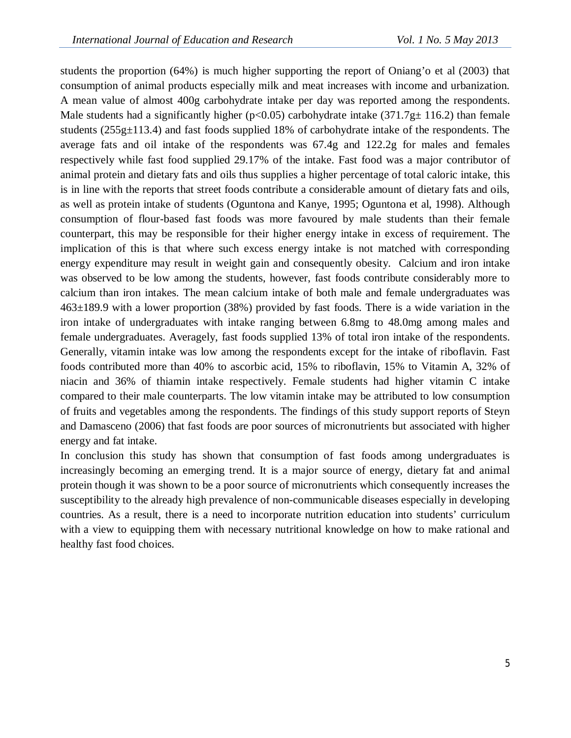students the proportion (64%) is much higher supporting the report of Oniang'o et al (2003) that consumption of animal products especially milk and meat increases with income and urbanization. A mean value of almost 400g carbohydrate intake per day was reported among the respondents. Male students had a significantly higher ( $p<0.05$ ) carbohydrate intake (371.7g $\pm$  116.2) than female students (255g $\pm$ 113.4) and fast foods supplied 18% of carbohydrate intake of the respondents. The average fats and oil intake of the respondents was 67.4g and 122.2g for males and females respectively while fast food supplied 29.17% of the intake. Fast food was a major contributor of animal protein and dietary fats and oils thus supplies a higher percentage of total caloric intake, this is in line with the reports that street foods contribute a considerable amount of dietary fats and oils, as well as protein intake of students (Oguntona and Kanye, 1995; Oguntona et al, 1998). Although consumption of flour-based fast foods was more favoured by male students than their female counterpart, this may be responsible for their higher energy intake in excess of requirement. The implication of this is that where such excess energy intake is not matched with corresponding energy expenditure may result in weight gain and consequently obesity. Calcium and iron intake was observed to be low among the students, however, fast foods contribute considerably more to calcium than iron intakes. The mean calcium intake of both male and female undergraduates was 463±189.9 with a lower proportion (38%) provided by fast foods. There is a wide variation in the iron intake of undergraduates with intake ranging between 6.8mg to 48.0mg among males and female undergraduates. Averagely, fast foods supplied 13% of total iron intake of the respondents. Generally, vitamin intake was low among the respondents except for the intake of riboflavin. Fast foods contributed more than 40% to ascorbic acid, 15% to riboflavin, 15% to Vitamin A, 32% of niacin and 36% of thiamin intake respectively. Female students had higher vitamin C intake compared to their male counterparts. The low vitamin intake may be attributed to low consumption of fruits and vegetables among the respondents. The findings of this study support reports of Steyn and Damasceno (2006) that fast foods are poor sources of micronutrients but associated with higher energy and fat intake.

In conclusion this study has shown that consumption of fast foods among undergraduates is increasingly becoming an emerging trend. It is a major source of energy, dietary fat and animal protein though it was shown to be a poor source of micronutrients which consequently increases the susceptibility to the already high prevalence of non-communicable diseases especially in developing countries. As a result, there is a need to incorporate nutrition education into students' curriculum with a view to equipping them with necessary nutritional knowledge on how to make rational and healthy fast food choices.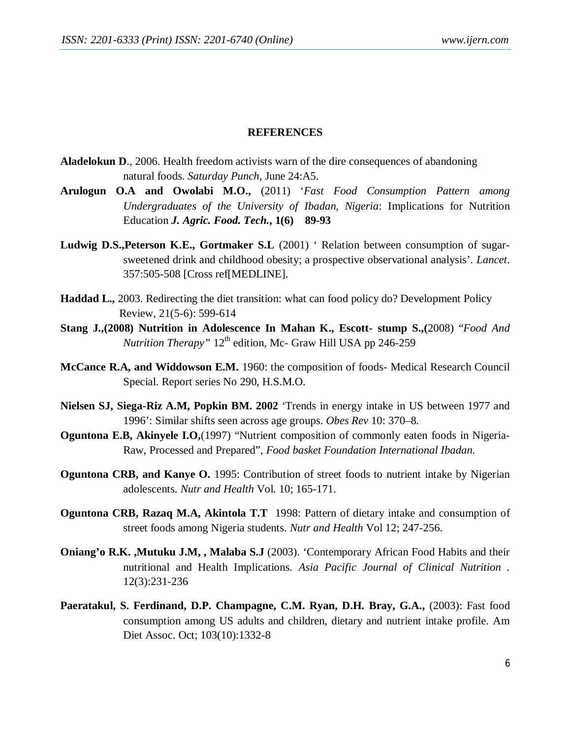#### **REFERENCES**

- **Aladelokun D**., 2006. Health freedom activists warn of the dire consequences of abandoning natural foods. *Saturday Punch*, June 24:A5.
- **Arulogun O.A and Owolabi M.O.,** (2011) '*Fast Food Consumption Pattern among Undergraduates of the University of Ibadan, Nigeria*: Implications for Nutrition Education *J. Agric. Food. Tech.***, 1(6) 89-93**
- **Ludwig D.S.,Peterson K.E., Gortmaker S.L** (2001) ' Relation between consumption of sugarsweetened drink and childhood obesity; a prospective observational analysis'. *Lancet*. 357:505-508 [Cross ref[MEDLINE].
- **Haddad L.,** 2003. Redirecting the diet transition: what can food policy do? Development Policy Review, 21(5-6): 599-614
- **Stang J.,(2008) Nutrition in Adolescence In Mahan K., Escott- stump S.,(**2008) "*Food And Nutrition Therapy*"  $12<sup>th</sup>$  edition, Mc- Graw Hill USA pp 246-259
- **McCance R.A, and Widdowson E.M.** 1960: the composition of foods- Medical Research Council Special. Report series No 290, H.S.M.O.
- **Nielsen SJ, Siega-Riz A.M, Popkin BM. 2002** 'Trends in energy intake in US between 1977 and 1996': Similar shifts seen across age groups. *Obes Rev* 10: 370–8.
- **Oguntona E.B, Akinyele I.O.**(1997) "Nutrient composition of commonly eaten foods in Nigeria-Raw, Processed and Prepared", *Food basket Foundation International Ibadan.*
- **Oguntona CRB, and Kanye O.** 1995: Contribution of street foods to nutrient intake by Nigerian adolescents. *Nutr and Health* Vol. 10; 165-171.
- **Oguntona CRB, Razaq M.A, Akintola T.T** 1998: Pattern of dietary intake and consumption of street foods among Nigeria students. *Nutr and Health* Vol 12; 247-256.
- **Oniang'o R.K. ,Mutuku J.M, , Malaba S.J** (2003). 'Contemporary African Food Habits and their nutritional and Health Implications. *Asia Pacific Journal of Clinical Nutrition .* 12(3):231-236
- **Paeratakul, S. Ferdinand, D.P. Champagne, C.M. Ryan, D.H. Bray, G.A.,** (2003): Fast food consumption among US adults and children, dietary and nutrient intake profile. Am Diet Assoc. Oct; 103(10):1332-8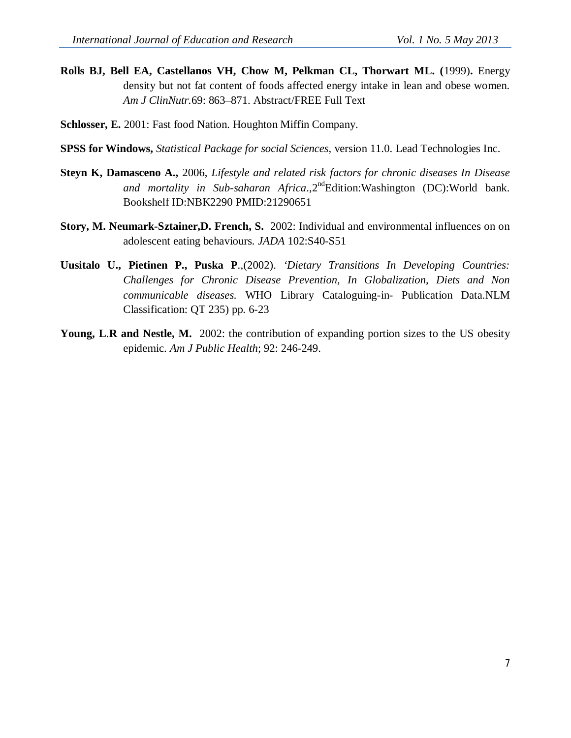- **Rolls BJ, Bell EA, Castellanos VH, Chow M, Pelkman CL, Thorwart ML. (**1999)**.** Energy density but not fat content of foods affected energy intake in lean and obese women. *Am J ClinNutr.*69: 863–871. Abstract/FREE Full Text
- **Schlosser, E.** 2001: Fast food Nation. Houghton Miffin Company.
- **SPSS for Windows,** *Statistical Package for social Sciences,* version 11.0. Lead Technologies Inc.
- **Steyn K, Damasceno A.,** 2006, *Lifestyle and related risk factors for chronic diseases In Disease and mortality in Sub-saharan Africa.*,2<sup>nd</sup>Edition:Washington (DC):World bank. Bookshelf ID:NBK2290 PMID:21290651
- **Story, M. Neumark-Sztainer,D. French, S.** 2002: Individual and environmental influences on on adolescent eating behaviours*. JADA* 102:S40-S51
- **Uusitalo U., Pietinen P., Puska P**.,(2002). *'Dietary Transitions In Developing Countries: Challenges for Chronic Disease Prevention, In Globalization, Diets and Non communicable diseases.* WHO Library Cataloguing-in- Publication Data.NLM Classification: QT 235) pp. 6-23
- **Young, L**.**R and Nestle, M.** 2002: the contribution of expanding portion sizes to the US obesity epidemic. *Am J Public Health*; 92: 246-249.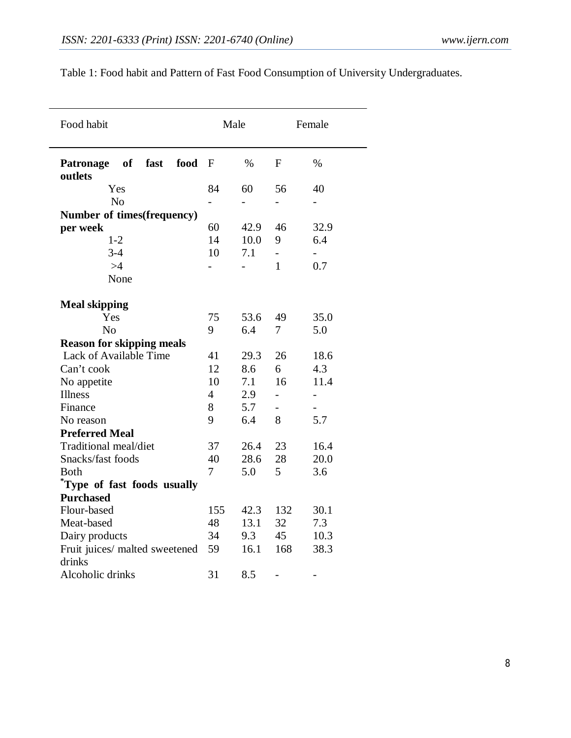| Food habit                                        |     | Male                     |                          | Female |  |
|---------------------------------------------------|-----|--------------------------|--------------------------|--------|--|
| fast<br>food<br><b>Patronage</b><br>of<br>outlets | F   | $\%$                     | F                        | $\%$   |  |
| Yes                                               | 84  | 60                       | 56                       | 40     |  |
| N <sub>o</sub>                                    |     | $\overline{\phantom{0}}$ | -                        |        |  |
| Number of times (frequency)                       |     |                          |                          |        |  |
| per week                                          | 60  | 42.9                     | 46                       | 32.9   |  |
| $1 - 2$                                           | 14  | 10.0                     | 9                        | 6.4    |  |
| $3 - 4$                                           | 10  | 7.1                      | $\overline{\phantom{0}}$ |        |  |
| >4                                                |     |                          | $\mathbf{1}$             | 0.7    |  |
| None                                              |     |                          |                          |        |  |
| <b>Meal skipping</b>                              |     |                          |                          |        |  |
| Yes                                               | 75  | 53.6                     | 49                       | 35.0   |  |
| No                                                | 9   | 6.4                      | 7                        | 5.0    |  |
| <b>Reason for skipping meals</b>                  |     |                          |                          |        |  |
| Lack of Available Time                            | 41  | 29.3                     | 26                       | 18.6   |  |
| Can't cook                                        | 12  | 8.6                      | 6                        | 4.3    |  |
| No appetite                                       | 10  | 7.1                      | 16                       | 11.4   |  |
| <b>Illness</b>                                    | 4   | 2.9                      | $\overline{\phantom{0}}$ | -      |  |
| Finance                                           | 8   | 5.7                      | $\overline{\phantom{0}}$ |        |  |
| No reason                                         | 9   | 6.4                      | 8                        | 5.7    |  |
| <b>Preferred Meal</b>                             |     |                          |                          |        |  |
| Traditional meal/diet                             | 37  | 26.4                     | 23                       | 16.4   |  |
| Snacks/fast foods                                 | 40  | 28.6                     | 28                       | 20.0   |  |
| <b>Both</b>                                       | 7   | 5.0                      | 5                        | 3.6    |  |
| Type of fast foods usually                        |     |                          |                          |        |  |
| <b>Purchased</b>                                  |     |                          |                          |        |  |
| Flour-based                                       | 155 | 42.3                     | 132                      | 30.1   |  |
| Meat-based                                        | 48  | 13.1                     | 32                       | 7.3    |  |
| Dairy products                                    | 34  | 9.3                      | 45                       | 10.3   |  |
| Fruit juices/ malted sweetened                    | 59  | 16.1                     | 168                      | 38.3   |  |
| drinks                                            |     |                          |                          |        |  |
| Alcoholic drinks                                  | 31  | 8.5                      | -                        |        |  |

Table 1: Food habit and Pattern of Fast Food Consumption of University Undergraduates.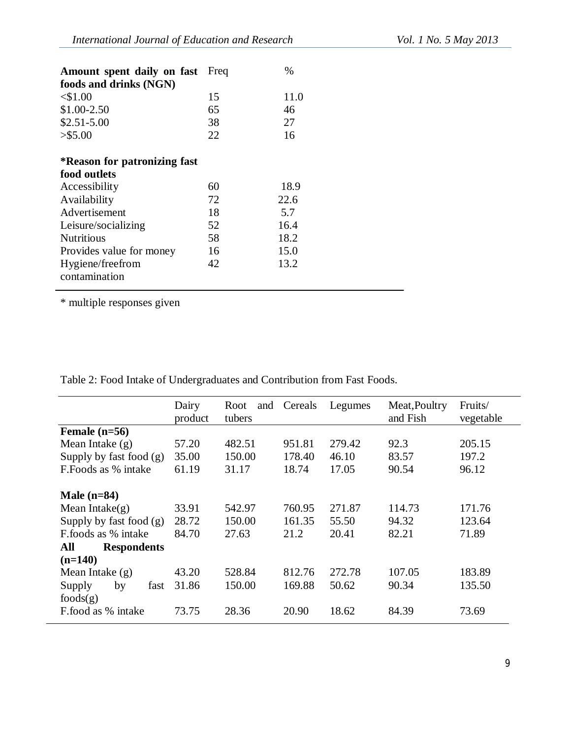| <b>Amount spent daily on fast</b> Freq |    | $\%$ |
|----------------------------------------|----|------|
| foods and drinks (NGN)                 |    |      |
| $<$ \$1.00                             | 15 | 11.0 |
| $$1.00-2.50$                           | 65 | 46   |
| $$2.51 - 5.00$                         | 38 | 27   |
| $>$ \$5.00                             | 22 | 16   |
|                                        |    |      |
| *Reason for patronizing fast           |    |      |
| food outlets                           |    |      |
| Accessibility                          | 60 | 18.9 |
| Availability                           | 72 | 22.6 |
| Advertisement                          | 18 | 5.7  |
| Leisure/socializing                    | 52 | 16.4 |
| <b>Nutritious</b>                      | 58 | 18.2 |
| Provides value for money               | 16 | 15.0 |
| Hygiene/freefrom                       | 42 | 13.2 |
| contamination                          |    |      |
|                                        |    |      |

\* multiple responses given

Table 2: Food Intake of Undergraduates and Contribution from Fast Foods.

|                                  | Dairy<br>product | Root<br>and<br>tubers | Cereals | Legumes | Meat, Poultry<br>and Fish | Fruits/<br>vegetable |
|----------------------------------|------------------|-----------------------|---------|---------|---------------------------|----------------------|
| Female $(n=56)$                  |                  |                       |         |         |                           |                      |
| Mean Intake $(g)$                | 57.20            | 482.51                | 951.81  | 279.42  | 92.3                      | 205.15               |
| Supply by fast food $(g)$        | 35.00            | 150.00                | 178.40  | 46.10   | 83.57                     | 197.2                |
| F. Foods as % intake             | 61.19            | 31.17                 | 18.74   | 17.05   | 90.54                     | 96.12                |
| Male $(n=84)$                    |                  |                       |         |         |                           |                      |
| Mean Intake $(g)$                | 33.91            | 542.97                | 760.95  | 271.87  | 114.73                    | 171.76               |
| Supply by fast food $(g)$        | 28.72            | 150.00                | 161.35  | 55.50   | 94.32                     | 123.64               |
| F.foods as % intake              | 84.70            | 27.63                 | 21.2    | 20.41   | 82.21                     | 71.89                |
| All<br><b>Respondents</b>        |                  |                       |         |         |                           |                      |
| $(n=140)$                        |                  |                       |         |         |                           |                      |
| Mean Intake $(g)$                | 43.20            | 528.84                | 812.76  | 272.78  | 107.05                    | 183.89               |
| Supply<br>by<br>fast<br>foods(g) | 31.86            | 150.00                | 169.88  | 50.62   | 90.34                     | 135.50               |
| F.food as % intake               | 73.75            | 28.36                 | 20.90   | 18.62   | 84.39                     | 73.69                |